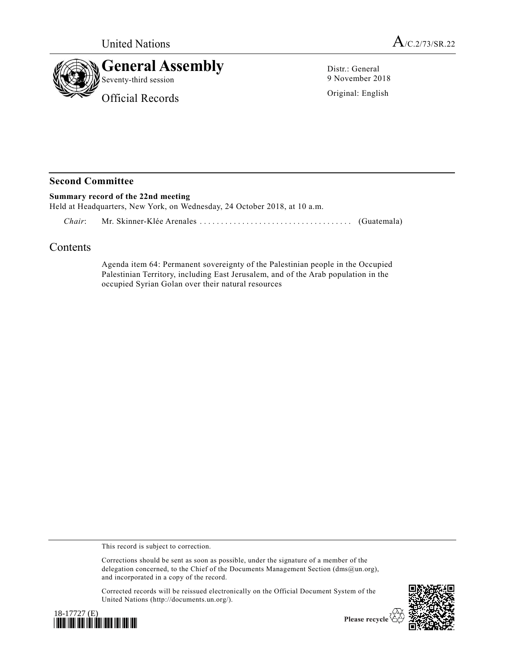



Distr.: General 9 November 2018

Original: English

## **Second Committee**

## **Summary record of the 22nd meeting**

Held at Headquarters, New York, on Wednesday, 24 October 2018, at 10 a.m.

*Chair*: Mr. Skinner-Klée Arenales ................................ .... (Guatemala)

## Contents

Agenda item 64: Permanent sovereignty of the Palestinian people in the Occupied Palestinian Territory, including East Jerusalem, and of the Arab population in the occupied Syrian Golan over their natural resources

This record is subject to correction.

Corrections should be sent as soon as possible, under the signature of a member of the delegation concerned, to the Chief of the Documents Management Section (dms@un.org), and incorporated in a copy of the record.

Corrected records will be reissued electronically on the Official Document System of the United Nations (http://documents.un.org/).





Please recycle  $\overline{\mathfrak{S}}$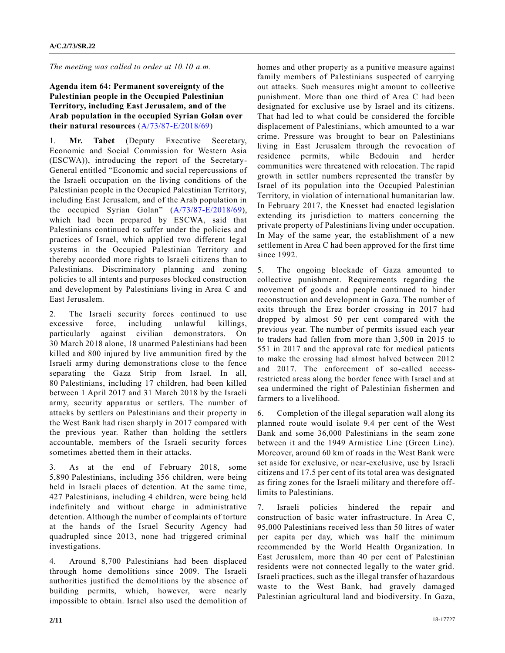*The meeting was called to order at 10.10 a.m.*

## **Agenda item 64: Permanent sovereignty of the Palestinian people in the Occupied Palestinian Territory, including East Jerusalem, and of the Arab population in the occupied Syrian Golan over their natural resources** [\(A/73/87-E/2018/69\)](https://undocs.org/A/73/87)

1. **Mr. Tabet** (Deputy Executive Secretary, Economic and Social Commission for Western Asia (ESCWA)), introducing the report of the Secretary-General entitled "Economic and social repercussions of the Israeli occupation on the living conditions of the Palestinian people in the Occupied Palestinian Territory, including East Jerusalem, and of the Arab population in the occupied Syrian Golan" [\(A/73/87-E/2018/69\)](https://undocs.org/A/73/87), which had been prepared by ESCWA, said that Palestinians continued to suffer under the policies and practices of Israel, which applied two different legal systems in the Occupied Palestinian Territory and thereby accorded more rights to Israeli citizens than to Palestinians. Discriminatory planning and zoning policies to all intents and purposes blocked construction and development by Palestinians living in Area C and East Jerusalem.

2. The Israeli security forces continued to use excessive force, including unlawful killings, particularly against civilian demonstrators. On 30 March 2018 alone, 18 unarmed Palestinians had been killed and 800 injured by live ammunition fired by the Israeli army during demonstrations close to the fence separating the Gaza Strip from Israel. In all, 80 Palestinians, including 17 children, had been killed between 1 April 2017 and 31 March 2018 by the Israeli army, security apparatus or settlers. The number of attacks by settlers on Palestinians and their property in the West Bank had risen sharply in 2017 compared with the previous year. Rather than holding the settlers accountable, members of the Israeli security forces sometimes abetted them in their attacks.

3. As at the end of February 2018, some 5,890 Palestinians, including 356 children, were being held in Israeli places of detention. At the same time, 427 Palestinians, including 4 children, were being held indefinitely and without charge in administrative detention. Although the number of complaints of torture at the hands of the Israel Security Agency had quadrupled since 2013, none had triggered criminal investigations.

4. Around 8,700 Palestinians had been displaced through home demolitions since 2009. The Israeli authorities justified the demolitions by the absence of building permits, which, however, were nearly impossible to obtain. Israel also used the demolition of

homes and other property as a punitive measure against family members of Palestinians suspected of carrying out attacks. Such measures might amount to collective punishment. More than one third of Area C had been designated for exclusive use by Israel and its citizens. That had led to what could be considered the forcible displacement of Palestinians, which amounted to a war crime. Pressure was brought to bear on Palestinians living in East Jerusalem through the revocation of residence permits, while Bedouin and herder communities were threatened with relocation. The rapid growth in settler numbers represented the transfer by Israel of its population into the Occupied Palestinian Territory, in violation of international humanitarian law. In February 2017, the Knesset had enacted legislation extending its jurisdiction to matters concerning the private property of Palestinians living under occupation. In May of the same year, the establishment of a new settlement in Area C had been approved for the first time since 1992.

5. The ongoing blockade of Gaza amounted to collective punishment. Requirements regarding the movement of goods and people continued to hinder reconstruction and development in Gaza. The number of exits through the Erez border crossing in 2017 had dropped by almost 50 per cent compared with the previous year. The number of permits issued each year to traders had fallen from more than 3,500 in 2015 to 551 in 2017 and the approval rate for medical patients to make the crossing had almost halved between 2012 and 2017. The enforcement of so-called accessrestricted areas along the border fence with Israel and at sea undermined the right of Palestinian fishermen and farmers to a livelihood.

6. Completion of the illegal separation wall along its planned route would isolate 9.4 per cent of the West Bank and some 36,000 Palestinians in the seam zone between it and the 1949 Armistice Line (Green Line). Moreover, around 60 km of roads in the West Bank were set aside for exclusive, or near-exclusive, use by Israeli citizens and 17.5 per cent of its total area was designated as firing zones for the Israeli military and therefore offlimits to Palestinians.

7. Israeli policies hindered the repair and construction of basic water infrastructure. In Area C, 95,000 Palestinians received less than 50 litres of water per capita per day, which was half the minimum recommended by the World Health Organization. In East Jerusalem, more than 40 per cent of Palestinian residents were not connected legally to the water grid. Israeli practices, such as the illegal transfer of hazardous waste to the West Bank, had gravely damaged Palestinian agricultural land and biodiversity. In Gaza,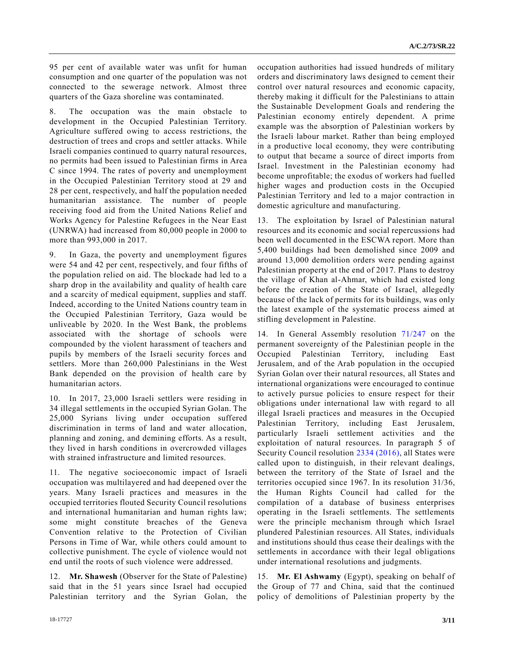95 per cent of available water was unfit for human consumption and one quarter of the population was not connected to the sewerage network. Almost three quarters of the Gaza shoreline was contaminated.

8. The occupation was the main obstacle to development in the Occupied Palestinian Territory. Agriculture suffered owing to access restrictions, the destruction of trees and crops and settler attacks. While Israeli companies continued to quarry natural resources, no permits had been issued to Palestinian firms in Area C since 1994. The rates of poverty and unemployment in the Occupied Palestinian Territory stood at 29 and 28 per cent, respectively, and half the population needed humanitarian assistance. The number of people receiving food aid from the United Nations Relief and Works Agency for Palestine Refugees in the Near East (UNRWA) had increased from 80,000 people in 2000 to more than 993,000 in 2017.

9. In Gaza, the poverty and unemployment figures were 54 and 42 per cent, respectively, and four fifths of the population relied on aid. The blockade had led to a sharp drop in the availability and quality of health care and a scarcity of medical equipment, supplies and staff. Indeed, according to the United Nations country team in the Occupied Palestinian Territory, Gaza would be unliveable by 2020. In the West Bank, the problems associated with the shortage of schools were compounded by the violent harassment of teachers and pupils by members of the Israeli security forces and settlers. More than 260,000 Palestinians in the West Bank depended on the provision of health care by humanitarian actors.

10. In 2017, 23,000 Israeli settlers were residing in 34 illegal settlements in the occupied Syrian Golan. The 25,000 Syrians living under occupation suffered discrimination in terms of land and water allocation, planning and zoning, and demining efforts. As a result, they lived in harsh conditions in overcrowded villages with strained infrastructure and limited resources.

11. The negative socioeconomic impact of Israeli occupation was multilayered and had deepened over the years. Many Israeli practices and measures in the occupied territories flouted Security Council resolutions and international humanitarian and human rights law; some might constitute breaches of the Geneva Convention relative to the Protection of Civilian Persons in Time of War, while others could amount to collective punishment. The cycle of violence would not end until the roots of such violence were addressed.

12. **Mr. Shawesh** (Observer for the State of Palestine) said that in the 51 years since Israel had occupied Palestinian territory and the Syrian Golan, the

occupation authorities had issued hundreds of military orders and discriminatory laws designed to cement their control over natural resources and economic capacity, thereby making it difficult for the Palestinians to attain the Sustainable Development Goals and rendering the Palestinian economy entirely dependent. A prime example was the absorption of Palestinian workers by the Israeli labour market. Rather than being employed in a productive local economy, they were contributing to output that became a source of direct imports from Israel. Investment in the Palestinian economy had become unprofitable; the exodus of workers had fuelled higher wages and production costs in the Occupied Palestinian Territory and led to a major contraction in domestic agriculture and manufacturing.

13. The exploitation by Israel of Palestinian natural resources and its economic and social repercussions had been well documented in the ESCWA report. More than 5,400 buildings had been demolished since 2009 and around 13,000 demolition orders were pending against Palestinian property at the end of 2017. Plans to destroy the village of Khan al-Ahmar, which had existed long before the creation of the State of Israel, allegedly because of the lack of permits for its buildings, was only the latest example of the systematic process aimed at stifling development in Palestine.

14. In General Assembly resolution [71/247](https://undocs.org/A/RES/71/247) on the permanent sovereignty of the Palestinian people in the Occupied Palestinian Territory, including East Jerusalem, and of the Arab population in the occupied Syrian Golan over their natural resources, all States and international organizations were encouraged to continue to actively pursue policies to ensure respect for their obligations under international law with regard to all illegal Israeli practices and measures in the Occupied Palestinian Territory, including East Jerusalem, particularly Israeli settlement activities and the exploitation of natural resources. In paragraph 5 of Security Council resolution [2334 \(2016\),](https://undocs.org/S/RES/2334(2016)) all States were called upon to distinguish, in their relevant dealings, between the territory of the State of Israel and the territories occupied since 1967. In its resolution 31/36, the Human Rights Council had called for the compilation of a database of business enterprises operating in the Israeli settlements. The settlements were the principle mechanism through which Israel plundered Palestinian resources. All States, individuals and institutions should thus cease their dealings with the settlements in accordance with their legal obligations under international resolutions and judgments.

15. **Mr. El Ashwamy** (Egypt), speaking on behalf of the Group of 77 and China, said that the continued policy of demolitions of Palestinian property by the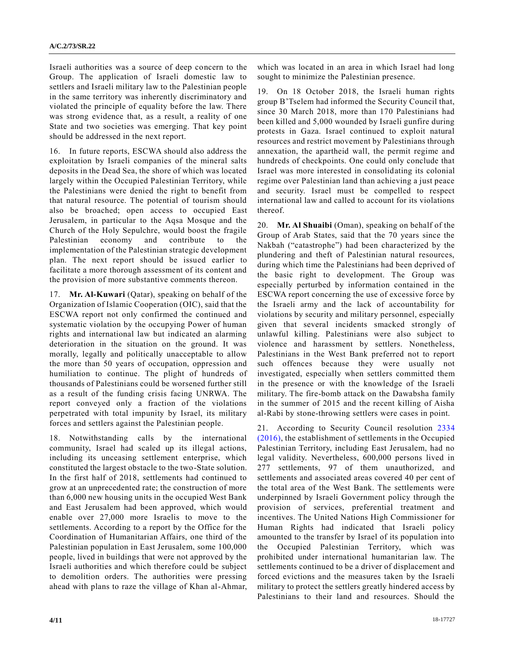Israeli authorities was a source of deep concern to the Group. The application of Israeli domestic law to settlers and Israeli military law to the Palestinian people in the same territory was inherently discriminatory and violated the principle of equality before the law. There was strong evidence that, as a result, a reality of one State and two societies was emerging. That key point should be addressed in the next report.

16. In future reports, ESCWA should also address the exploitation by Israeli companies of the mineral salts deposits in the Dead Sea, the shore of which was located largely within the Occupied Palestinian Territory, while the Palestinians were denied the right to benefit from that natural resource. The potential of tourism should also be broached; open access to occupied East Jerusalem, in particular to the Aqsa Mosque and the Church of the Holy Sepulchre, would boost the fragile Palestinian economy and contribute to the implementation of the Palestinian strategic development plan. The next report should be issued earlier to facilitate a more thorough assessment of its content and the provision of more substantive comments thereon.

17. **Mr. Al-Kuwari** (Qatar), speaking on behalf of the Organization of Islamic Cooperation (OIC), said that the ESCWA report not only confirmed the continued and systematic violation by the occupying Power of human rights and international law but indicated an alarming deterioration in the situation on the ground. It was morally, legally and politically unacceptable to allow the more than 50 years of occupation, oppression and humiliation to continue. The plight of hundreds of thousands of Palestinians could be worsened further still as a result of the funding crisis facing UNRWA. The report conveyed only a fraction of the violations perpetrated with total impunity by Israel, its military forces and settlers against the Palestinian people.

18. Notwithstanding calls by the international community, Israel had scaled up its illegal actions, including its unceasing settlement enterprise, which constituted the largest obstacle to the two-State solution. In the first half of 2018, settlements had continued to grow at an unprecedented rate; the construction of more than 6,000 new housing units in the occupied West Bank and East Jerusalem had been approved, which would enable over 27,000 more Israelis to move to the settlements. According to a report by the Office for the Coordination of Humanitarian Affairs, one third of the Palestinian population in East Jerusalem, some 100,000 people, lived in buildings that were not approved by the Israeli authorities and which therefore could be subject to demolition orders. The authorities were pressing ahead with plans to raze the village of Khan al-Ahmar, which was located in an area in which Israel had long sought to minimize the Palestinian presence.

19. On 18 October 2018, the Israeli human rights group B'Tselem had informed the Security Council that, since 30 March 2018, more than 170 Palestinians had been killed and 5,000 wounded by Israeli gunfire during protests in Gaza. Israel continued to exploit natural resources and restrict movement by Palestinians through annexation, the apartheid wall, the permit regime and hundreds of checkpoints. One could only conclude that Israel was more interested in consolidating its colonial regime over Palestinian land than achieving a just peace and security. Israel must be compelled to respect international law and called to account for its violations thereof.

20. **Mr. Al Shuaibi** (Oman), speaking on behalf of the Group of Arab States, said that the 70 years since the Nakbah ("catastrophe") had been characterized by the plundering and theft of Palestinian natural resources, during which time the Palestinians had been deprived of the basic right to development. The Group was especially perturbed by information contained in the ESCWA report concerning the use of excessive force by the Israeli army and the lack of accountability for violations by security and military personnel, especially given that several incidents smacked strongly of unlawful killing. Palestinians were also subject to violence and harassment by settlers. Nonetheless, Palestinians in the West Bank preferred not to report such offences because they were usually not investigated, especially when settlers committed them in the presence or with the knowledge of the Israeli military. The fire-bomb attack on the Dawabsha family in the summer of 2015 and the recent killing of Aisha al-Rabi by stone-throwing settlers were cases in point.

21. According to Security Council resolution [2334](https://undocs.org/S/RES/2334(2016))  [\(2016\),](https://undocs.org/S/RES/2334(2016)) the establishment of settlements in the Occupied Palestinian Territory, including East Jerusalem, had no legal validity. Nevertheless, 600,000 persons lived in 277 settlements, 97 of them unauthorized, and settlements and associated areas covered 40 per cent of the total area of the West Bank. The settlements were underpinned by Israeli Government policy through the provision of services, preferential treatment and incentives. The United Nations High Commissioner for Human Rights had indicated that Israeli policy amounted to the transfer by Israel of its population into the Occupied Palestinian Territory, which was prohibited under international humanitarian law. The settlements continued to be a driver of displacement and forced evictions and the measures taken by the Israeli military to protect the settlers greatly hindered access by Palestinians to their land and resources. Should the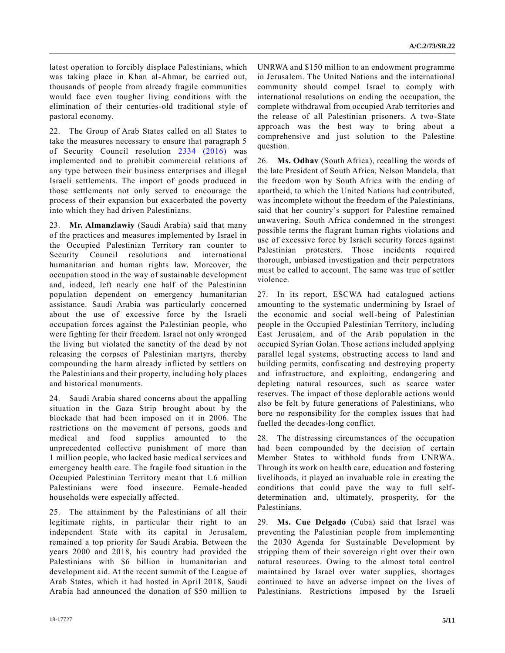latest operation to forcibly displace Palestinians, which was taking place in Khan al-Ahmar, be carried out, thousands of people from already fragile communities would face even tougher living conditions with the elimination of their centuries-old traditional style of pastoral economy.

22. The Group of Arab States called on all States to take the measures necessary to ensure that paragraph 5 of Security Council resolution [2334 \(2016\)](https://undocs.org/S/RES/2334(2016)) was implemented and to prohibit commercial relations of any type between their business enterprises and illegal Israeli settlements. The import of goods produced in those settlements not only served to encourage the process of their expansion but exacerbated the poverty into which they had driven Palestinians.

23. **Mr. Almanzlawiy** (Saudi Arabia) said that many of the practices and measures implemented by Israel in the Occupied Palestinian Territory ran counter to Security Council resolutions and international humanitarian and human rights law. Moreover, the occupation stood in the way of sustainable development and, indeed, left nearly one half of the Palestinian population dependent on emergency humanitarian assistance. Saudi Arabia was particularly concerned about the use of excessive force by the Israeli occupation forces against the Palestinian people, who were fighting for their freedom. Israel not only wronged the living but violated the sanctity of the dead by not releasing the corpses of Palestinian martyrs, thereby compounding the harm already inflicted by settlers on the Palestinians and their property, including holy places and historical monuments.

24. Saudi Arabia shared concerns about the appalling situation in the Gaza Strip brought about by the blockade that had been imposed on it in 2006. The restrictions on the movement of persons, goods and medical and food supplies amounted to the unprecedented collective punishment of more than 1 million people, who lacked basic medical services and emergency health care. The fragile food situation in the Occupied Palestinian Territory meant that 1.6 million Palestinians were food insecure. Female-headed households were especially affected.

25. The attainment by the Palestinians of all their legitimate rights, in particular their right to an independent State with its capital in Jerusalem, remained a top priority for Saudi Arabia. Between the years 2000 and 2018, his country had provided the Palestinians with \$6 billion in humanitarian and development aid. At the recent summit of the League of Arab States, which it had hosted in April 2018, Saudi Arabia had announced the donation of \$50 million to UNRWA and \$150 million to an endowment programme in Jerusalem. The United Nations and the international community should compel Israel to comply with international resolutions on ending the occupation, the complete withdrawal from occupied Arab territories and the release of all Palestinian prisoners. A two-State approach was the best way to bring about a comprehensive and just solution to the Palestine question.

26. **Ms. Odhav** (South Africa), recalling the words of the late President of South Africa, Nelson Mandela, that the freedom won by South Africa with the ending of apartheid, to which the United Nations had contributed, was incomplete without the freedom of the Palestinians, said that her country's support for Palestine remained unwavering. South Africa condemned in the strongest possible terms the flagrant human rights violations and use of excessive force by Israeli security forces against Palestinian protesters. Those incidents required thorough, unbiased investigation and their perpetrators must be called to account. The same was true of settler violence.

27. In its report, ESCWA had catalogued actions amounting to the systematic undermining by Israel of the economic and social well-being of Palestinian people in the Occupied Palestinian Territory, including East Jerusalem, and of the Arab population in the occupied Syrian Golan. Those actions included applying parallel legal systems, obstructing access to land and building permits, confiscating and destroying property and infrastructure, and exploiting, endangering and depleting natural resources, such as scarce water reserves. The impact of those deplorable actions would also be felt by future generations of Palestinians, who bore no responsibility for the complex issues that had fuelled the decades-long conflict.

28. The distressing circumstances of the occupation had been compounded by the decision of certain Member States to withhold funds from UNRWA. Through its work on health care, education and fostering livelihoods, it played an invaluable role in creating the conditions that could pave the way to full selfdetermination and, ultimately, prosperity, for the Palestinians.

29. **Ms. Cue Delgado** (Cuba) said that Israel was preventing the Palestinian people from implementing the 2030 Agenda for Sustainable Development by stripping them of their sovereign right over their own natural resources. Owing to the almost total control maintained by Israel over water supplies, shortages continued to have an adverse impact on the lives of Palestinians. Restrictions imposed by the Israeli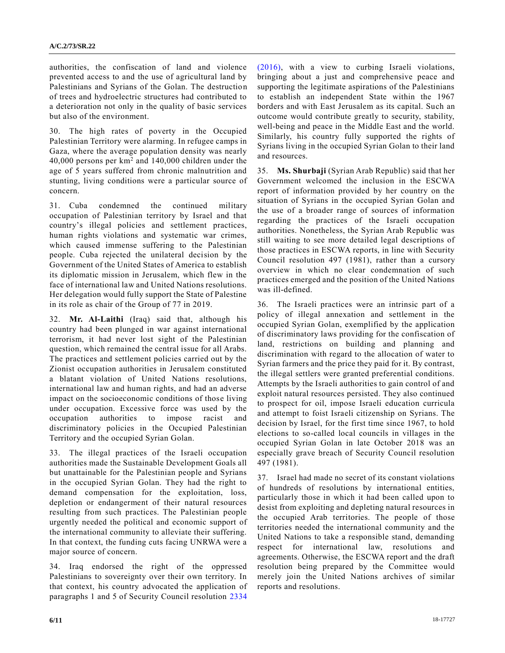authorities, the confiscation of land and violence prevented access to and the use of agricultural land by Palestinians and Syrians of the Golan. The destruction of trees and hydroelectric structures had contributed to a deterioration not only in the quality of basic services but also of the environment.

30. The high rates of poverty in the Occupied Palestinian Territory were alarming. In refugee camps in Gaza, where the average population density was nearly 40,000 persons per  $km^2$  and 140,000 children under the age of 5 years suffered from chronic malnutrition and stunting, living conditions were a particular source of concern.

31. Cuba condemned the continued military occupation of Palestinian territory by Israel and that country's illegal policies and settlement practices, human rights violations and systematic war crimes, which caused immense suffering to the Palestinian people. Cuba rejected the unilateral decision by the Government of the United States of America to establish its diplomatic mission in Jerusalem, which flew in the face of international law and United Nations resolutions. Her delegation would fully support the State of Palestine in its role as chair of the Group of 77 in 2019.

32. **Mr. Al-Laithi** (Iraq) said that, although his country had been plunged in war against international terrorism, it had never lost sight of the Palestinian question, which remained the central issue for all Arabs. The practices and settlement policies carried out by the Zionist occupation authorities in Jerusalem constituted a blatant violation of United Nations resolutions, international law and human rights, and had an adverse impact on the socioeconomic conditions of those living under occupation. Excessive force was used by the occupation authorities to impose racist and discriminatory policies in the Occupied Palestinian Territory and the occupied Syrian Golan.

33. The illegal practices of the Israeli occupation authorities made the Sustainable Development Goals all but unattainable for the Palestinian people and Syrians in the occupied Syrian Golan. They had the right to demand compensation for the exploitation, loss, depletion or endangerment of their natural resources resulting from such practices. The Palestinian people urgently needed the political and economic support of the international community to alleviate their suffering. In that context, the funding cuts facing UNRWA were a major source of concern.

34. Iraq endorsed the right of the oppressed Palestinians to sovereignty over their own territory. In that context, his country advocated the application of paragraphs 1 and 5 of Security Council resolution [2334](https://undocs.org/S/RES/2334(2016))  [\(2016\),](https://undocs.org/S/RES/2334(2016)) with a view to curbing Israeli violations, bringing about a just and comprehensive peace and supporting the legitimate aspirations of the Palestinians to establish an independent State within the 1967 borders and with East Jerusalem as its capital. Such an outcome would contribute greatly to security, stability, well-being and peace in the Middle East and the world. Similarly, his country fully supported the rights of Syrians living in the occupied Syrian Golan to their land and resources.

35. **Ms. Shurbaji** (Syrian Arab Republic) said that her Government welcomed the inclusion in the ESCWA report of information provided by her country on the situation of Syrians in the occupied Syrian Golan and the use of a broader range of sources of information regarding the practices of the Israeli occupation authorities. Nonetheless, the Syrian Arab Republic was still waiting to see more detailed legal descriptions of those practices in ESCWA reports, in line with Security Council resolution 497 (1981), rather than a cursory overview in which no clear condemnation of such practices emerged and the position of the United Nations was ill-defined.

36. The Israeli practices were an intrinsic part of a policy of illegal annexation and settlement in the occupied Syrian Golan, exemplified by the application of discriminatory laws providing for the confiscation of land, restrictions on building and planning and discrimination with regard to the allocation of water to Syrian farmers and the price they paid for it. By contrast, the illegal settlers were granted preferential conditions. Attempts by the Israeli authorities to gain control of and exploit natural resources persisted. They also continued to prospect for oil, impose Israeli education curricula and attempt to foist Israeli citizenship on Syrians. The decision by Israel, for the first time since 1967, to hold elections to so-called local councils in villages in the occupied Syrian Golan in late October 2018 was an especially grave breach of Security Council resolution 497 (1981).

37. Israel had made no secret of its constant violations of hundreds of resolutions by international entities, particularly those in which it had been called upon to desist from exploiting and depleting natural resources in the occupied Arab territories. The people of those territories needed the international community and the United Nations to take a responsible stand, demanding respect for international law, resolutions and agreements. Otherwise, the ESCWA report and the draft resolution being prepared by the Committee would merely join the United Nations archives of similar reports and resolutions.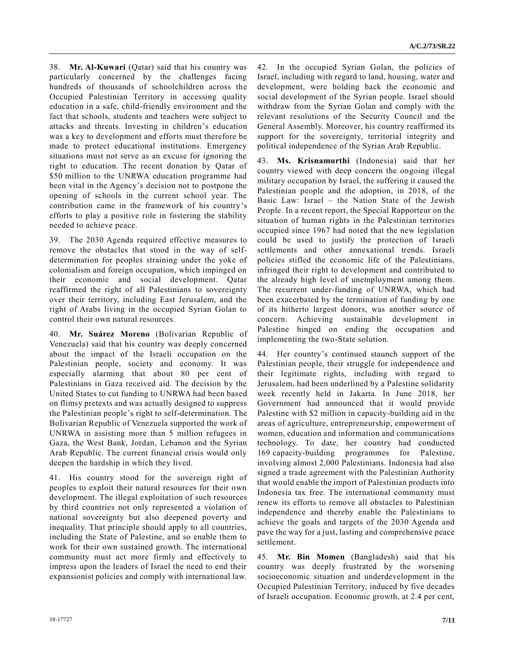38. **Mr. Al-Kuwari** (Qatar) said that his country was particularly concerned by the challenges facing hundreds of thousands of schoolchildren across the Occupied Palestinian Territory in accessing quality education in a safe, child-friendly environment and the fact that schools, students and teachers were subject to attacks and threats. Investing in children's education was a key to development and efforts must therefore be made to protect educational institutions. Emergency situations must not serve as an excuse for ignoring the right to education. The recent donation by Qatar of \$50 million to the UNRWA education programme had been vital in the Agency's decision not to postpone the opening of schools in the current school year. The contribution came in the framework of his country's efforts to play a positive role in fostering the stability needed to achieve peace.

39. The 2030 Agenda required effective measures to remove the obstacles that stood in the way of selfdetermination for peoples straining under the yoke of colonialism and foreign occupation, which impinged on their economic and social development. Qatar reaffirmed the right of all Palestinians to sovereignty over their territory, including East Jerusalem, and the right of Arabs living in the occupied Syrian Golan to control their own natural resources.

40. **Mr. Suárez Moreno** (Bolivarian Republic of Venezuela) said that his country was deeply concerned about the impact of the Israeli occupation on the Palestinian people, society and economy. It was especially alarming that about 80 per cent of Palestinians in Gaza received aid. The decision by the United States to cut funding to UNRWA had been based on flimsy pretexts and was actually designed to suppress the Palestinian people's right to self-determination. The Bolivarian Republic of Venezuela supported the work of UNRWA in assisting more than 5 million refugees in Gaza, the West Bank, Jordan, Lebanon and the Syrian Arab Republic. The current financial crisis would only deepen the hardship in which they lived.

41. His country stood for the sovereign right of peoples to exploit their natural resources for their own development. The illegal exploitation of such resources by third countries not only represented a violation of national sovereignty but also deepened poverty and inequality. That principle should apply to all countries, including the State of Palestine, and so enable them to work for their own sustained growth. The international community must act more firmly and effectively to impress upon the leaders of Israel the need to end their expansionist policies and comply with international law.

42. In the occupied Syrian Golan, the policies of Israel, including with regard to land, housing, water and development, were holding back the economic and social development of the Syrian people. Israel should withdraw from the Syrian Golan and comply with the relevant resolutions of the Security Council and the General Assembly. Moreover, his country reaffirmed its support for the sovereignty, territorial integrity and political independence of the Syrian Arab Republic.

43. **Ms. Krisnamurthi** (Indonesia) said that her country viewed with deep concern the ongoing illegal military occupation by Israel, the suffering it caused the Palestinian people and the adoption, in 2018, of the Basic Law: Israel – the Nation State of the Jewish People. In a recent report, the Special Rapporteur on the situation of human rights in the Palestinian territories occupied since 1967 had noted that the new legislation could be used to justify the protection of Israeli settlements and other annexational trends. Israeli policies stifled the economic life of the Palestinians, infringed their right to development and contributed to the already high level of unemployment among them. The recurrent under-funding of UNRWA, which had been exacerbated by the termination of funding by one of its hitherto largest donors, was another source of concern. Achieving sustainable development in Palestine hinged on ending the occupation and implementing the two-State solution.

44. Her country's continued staunch support of the Palestinian people, their struggle for independence and their legitimate rights, including with regard to Jerusalem, had been underlined by a Palestine solidarity week recently held in Jakarta. In June 2018, her Government had announced that it would provide Palestine with \$2 million in capacity-building aid in the areas of agriculture, entrepreneurship, empowerment of women, education and information and communications technology. To date, her country had conducted 169 capacity-building programmes for Palestine, involving almost 2,000 Palestinians. Indonesia had also signed a trade agreement with the Palestinian Authority that would enable the import of Palestinian products into Indonesia tax free. The international community must renew its efforts to remove all obstacles to Palestinian independence and thereby enable the Palestinians to achieve the goals and targets of the 2030 Agenda and pave the way for a just, lasting and comprehensive peace settlement.

45. **Mr. Bin Momen** (Bangladesh) said that his country was deeply frustrated by the worsening socioeconomic situation and underdevelopment in the Occupied Palestinian Territory, induced by five decades of Israeli occupation. Economic growth, at 2.4 per cent,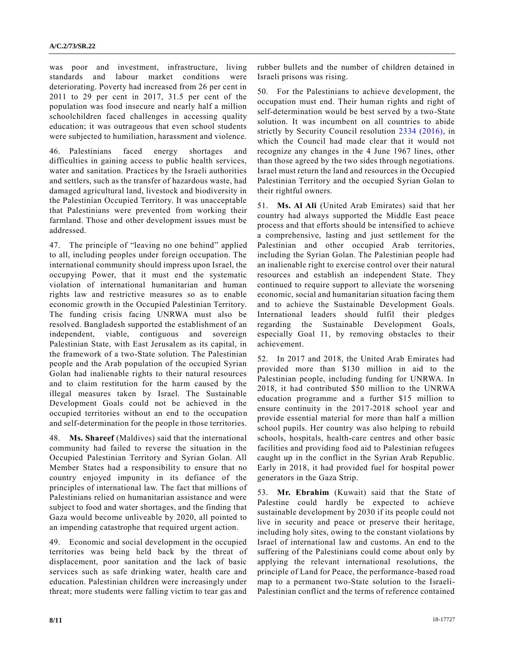was poor and investment, infrastructure, living standards and labour market conditions were deteriorating. Poverty had increased from 26 per cent in 2011 to 29 per cent in 2017, 31.5 per cent of the population was food insecure and nearly half a million schoolchildren faced challenges in accessing quality education; it was outrageous that even school students were subjected to humiliation, harassment and violence.

46. Palestinians faced energy shortages and difficulties in gaining access to public health services, water and sanitation. Practices by the Israeli authorities and settlers, such as the transfer of hazardous waste, had damaged agricultural land, livestock and biodiversity in the Palestinian Occupied Territory. It was unacceptable that Palestinians were prevented from working their farmland. Those and other development issues must be addressed.

47. The principle of "leaving no one behind" applied to all, including peoples under foreign occupation. The international community should impress upon Israel, the occupying Power, that it must end the systematic violation of international humanitarian and human rights law and restrictive measures so as to enable economic growth in the Occupied Palestinian Territory. The funding crisis facing UNRWA must also be resolved. Bangladesh supported the establishment of an independent, viable, contiguous and sovereign Palestinian State, with East Jerusalem as its capital, in the framework of a two-State solution. The Palestinian people and the Arab population of the occupied Syrian Golan had inalienable rights to their natural resources and to claim restitution for the harm caused by the illegal measures taken by Israel. The Sustainable Development Goals could not be achieved in the occupied territories without an end to the occupation and self-determination for the people in those territories.

48. **Ms. Shareef** (Maldives) said that the international community had failed to reverse the situation in the Occupied Palestinian Territory and Syrian Golan. All Member States had a responsibility to ensure that no country enjoyed impunity in its defiance of the principles of international law. The fact that millions of Palestinians relied on humanitarian assistance and were subject to food and water shortages, and the finding that Gaza would become unliveable by 2020, all pointed to an impending catastrophe that required urgent action.

49. Economic and social development in the occupied territories was being held back by the threat of displacement, poor sanitation and the lack of basic services such as safe drinking water, health care and education. Palestinian children were increasingly under threat; more students were falling victim to tear gas and rubber bullets and the number of children detained in Israeli prisons was rising.

50. For the Palestinians to achieve development, the occupation must end. Their human rights and right of self-determination would be best served by a two-State solution. It was incumbent on all countries to abide strictly by Security Council resolution [2334 \(2016\),](https://undocs.org/S/RES/2334(2016)) in which the Council had made clear that it would not recognize any changes in the 4 June 1967 lines, other than those agreed by the two sides through negotiations. Israel must return the land and resources in the Occupied Palestinian Territory and the occupied Syrian Golan to their rightful owners.

51. **Ms. Al Ali** (United Arab Emirates) said that her country had always supported the Middle East peace process and that efforts should be intensified to achieve a comprehensive, lasting and just settlement for the Palestinian and other occupied Arab territories, including the Syrian Golan. The Palestinian people had an inalienable right to exercise control over their natural resources and establish an independent State. They continued to require support to alleviate the worsening economic, social and humanitarian situation facing them and to achieve the Sustainable Development Goals. International leaders should fulfil their pledges regarding the Sustainable Development Goals, especially Goal 11, by removing obstacles to their achievement.

52. In 2017 and 2018, the United Arab Emirates had provided more than \$130 million in aid to the Palestinian people, including funding for UNRWA. In 2018, it had contributed \$50 million to the UNRWA education programme and a further \$15 million to ensure continuity in the 2017-2018 school year and provide essential material for more than half a million school pupils. Her country was also helping to rebuild schools, hospitals, health-care centres and other basic facilities and providing food aid to Palestinian refugees caught up in the conflict in the Syrian Arab Republic. Early in 2018, it had provided fuel for hospital power generators in the Gaza Strip.

53. **Mr. Ebrahim** (Kuwait) said that the State of Palestine could hardly be expected to achieve sustainable development by 2030 if its people could not live in security and peace or preserve their heritage, including holy sites, owing to the constant violations by Israel of international law and customs. An end to the suffering of the Palestinians could come about only by applying the relevant international resolutions, the principle of Land for Peace, the performance-based road map to a permanent two-State solution to the Israeli-Palestinian conflict and the terms of reference contained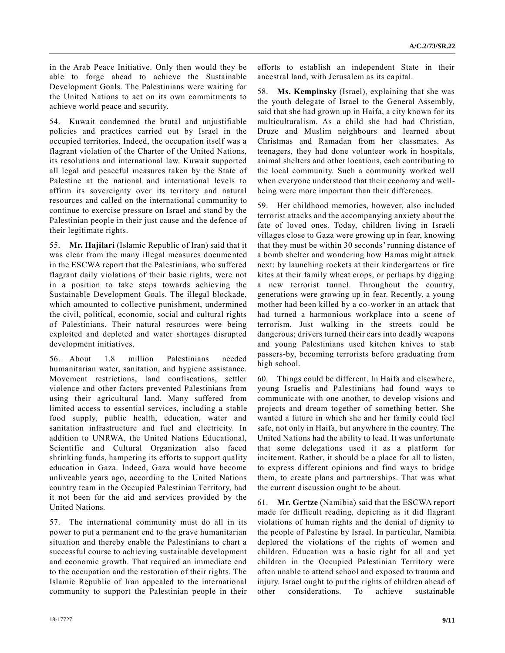in the Arab Peace Initiative. Only then would they be able to forge ahead to achieve the Sustainable Development Goals. The Palestinians were waiting for the United Nations to act on its own commitments to achieve world peace and security.

54. Kuwait condemned the brutal and unjustifiable policies and practices carried out by Israel in the occupied territories. Indeed, the occupation itself was a flagrant violation of the Charter of the United Nations, its resolutions and international law. Kuwait supported all legal and peaceful measures taken by the State of Palestine at the national and international levels to affirm its sovereignty over its territory and natural resources and called on the international community to continue to exercise pressure on Israel and stand by the Palestinian people in their just cause and the defence of their legitimate rights.

55. **Mr. Hajilari** (Islamic Republic of Iran) said that it was clear from the many illegal measures documented in the ESCWA report that the Palestinians, who suffered flagrant daily violations of their basic rights, were not in a position to take steps towards achieving the Sustainable Development Goals. The illegal blockade, which amounted to collective punishment, undermined the civil, political, economic, social and cultural rights of Palestinians. Their natural resources were being exploited and depleted and water shortages disrupted development initiatives.

56. About 1.8 million Palestinians needed humanitarian water, sanitation, and hygiene assistance. Movement restrictions, land confiscations, settler violence and other factors prevented Palestinians from using their agricultural land. Many suffered from limited access to essential services, including a stable food supply, public health, education, water and sanitation infrastructure and fuel and electricity. In addition to UNRWA, the United Nations Educational, Scientific and Cultural Organization also faced shrinking funds, hampering its efforts to support quality education in Gaza. Indeed, Gaza would have become unliveable years ago, according to the United Nations country team in the Occupied Palestinian Territory, had it not been for the aid and services provided by the United Nations.

57. The international community must do all in its power to put a permanent end to the grave humanitarian situation and thereby enable the Palestinians to chart a successful course to achieving sustainable development and economic growth. That required an immediate end to the occupation and the restoration of their rights. The Islamic Republic of Iran appealed to the international community to support the Palestinian people in their

efforts to establish an independent State in their ancestral land, with Jerusalem as its capital.

58. **Ms. Kempinsky** (Israel), explaining that she was the youth delegate of Israel to the General Assembly, said that she had grown up in Haifa, a city known for its multiculturalism. As a child she had had Christian, Druze and Muslim neighbours and learned about Christmas and Ramadan from her classmates. As teenagers, they had done volunteer work in hospitals, animal shelters and other locations, each contributing to the local community. Such a community worked well when everyone understood that their economy and wellbeing were more important than their differences.

59. Her childhood memories, however, also included terrorist attacks and the accompanying anxiety about the fate of loved ones. Today, children living in Israeli villages close to Gaza were growing up in fear, knowing that they must be within 30 seconds' running distance of a bomb shelter and wondering how Hamas might attack next: by launching rockets at their kindergartens or fire kites at their family wheat crops, or perhaps by digging a new terrorist tunnel. Throughout the country, generations were growing up in fear. Recently, a young mother had been killed by a co-worker in an attack that had turned a harmonious workplace into a scene of terrorism. Just walking in the streets could be dangerous; drivers turned their cars into deadly weapons and young Palestinians used kitchen knives to stab passers-by, becoming terrorists before graduating from high school.

60. Things could be different. In Haifa and elsewhere, young Israelis and Palestinians had found ways to communicate with one another, to develop visions and projects and dream together of something better. She wanted a future in which she and her family could feel safe, not only in Haifa, but anywhere in the country. The United Nations had the ability to lead. It was unfortunate that some delegations used it as a platform for incitement. Rather, it should be a place for all to listen, to express different opinions and find ways to bridge them, to create plans and partnerships. That was what the current discussion ought to be about.

61. **Mr. Gertze** (Namibia) said that the ESCWA report made for difficult reading, depicting as it did flagrant violations of human rights and the denial of dignity to the people of Palestine by Israel. In particular, Namibia deplored the violations of the rights of women and children. Education was a basic right for all and yet children in the Occupied Palestinian Territory were often unable to attend school and exposed to trauma and injury. Israel ought to put the rights of children ahead of other considerations. To achieve sustainable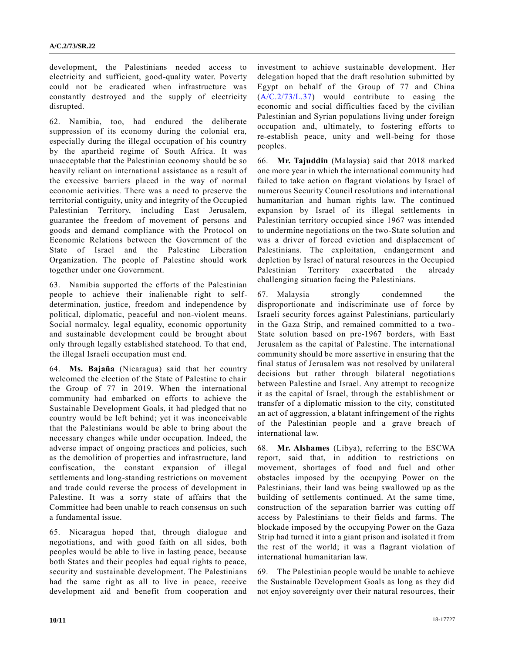development, the Palestinians needed access to electricity and sufficient, good-quality water. Poverty could not be eradicated when infrastructure was constantly destroyed and the supply of electricity disrupted.

62. Namibia, too, had endured the deliberate suppression of its economy during the colonial era, especially during the illegal occupation of his country by the apartheid regime of South Africa. It was unacceptable that the Palestinian economy should be so heavily reliant on international assistance as a result of the excessive barriers placed in the way of normal economic activities. There was a need to preserve the territorial contiguity, unity and integrity of the Occupied Palestinian Territory, including East Jerusalem, guarantee the freedom of movement of persons and goods and demand compliance with the Protocol on Economic Relations between the Government of the State of Israel and the Palestine Liberation Organization. The people of Palestine should work together under one Government.

63. Namibia supported the efforts of the Palestinian people to achieve their inalienable right to selfdetermination, justice, freedom and independence by political, diplomatic, peaceful and non-violent means. Social normalcy, legal equality, economic opportunity and sustainable development could be brought about only through legally established statehood. To that end, the illegal Israeli occupation must end.

64. **Ms. Bajaña** (Nicaragua) said that her country welcomed the election of the State of Palestine to chair the Group of 77 in 2019. When the international community had embarked on efforts to achieve the Sustainable Development Goals, it had pledged that no country would be left behind; yet it was inconceivable that the Palestinians would be able to bring about the necessary changes while under occupation. Indeed, the adverse impact of ongoing practices and policies, such as the demolition of properties and infrastructure, land confiscation, the constant expansion of illegal settlements and long-standing restrictions on movement and trade could reverse the process of development in Palestine. It was a sorry state of affairs that the Committee had been unable to reach consensus on such a fundamental issue.

65. Nicaragua hoped that, through dialogue and negotiations, and with good faith on all sides, both peoples would be able to live in lasting peace, because both States and their peoples had equal rights to peace, security and sustainable development. The Palestinians had the same right as all to live in peace, receive development aid and benefit from cooperation and

investment to achieve sustainable development. Her delegation hoped that the draft resolution submitted by Egypt on behalf of the Group of 77 and China [\(A/C.2/73/L.37\)](https://undocs.org/A/C.2/73/L.37) would contribute to easing the economic and social difficulties faced by the civilian Palestinian and Syrian populations living under foreign occupation and, ultimately, to fostering efforts to re-establish peace, unity and well-being for those peoples.

66. **Mr. Tajuddin** (Malaysia) said that 2018 marked one more year in which the international community had failed to take action on flagrant violations by Israel of numerous Security Council resolutions and international humanitarian and human rights law. The continued expansion by Israel of its illegal settlements in Palestinian territory occupied since 1967 was intended to undermine negotiations on the two-State solution and was a driver of forced eviction and displacement of Palestinians. The exploitation, endangerment and depletion by Israel of natural resources in the Occupied Palestinian Territory exacerbated the already challenging situation facing the Palestinians.

67. Malaysia strongly condemned the disproportionate and indiscriminate use of force by Israeli security forces against Palestinians, particularly in the Gaza Strip, and remained committed to a two-State solution based on pre-1967 borders, with East Jerusalem as the capital of Palestine. The international community should be more assertive in ensuring that the final status of Jerusalem was not resolved by unilateral decisions but rather through bilateral negotiations between Palestine and Israel. Any attempt to recognize it as the capital of Israel, through the establishment or transfer of a diplomatic mission to the city, constituted an act of aggression, a blatant infringement of the rights of the Palestinian people and a grave breach of international law.

68. **Mr. Alshames** (Libya), referring to the ESCWA report, said that, in addition to restrictions on movement, shortages of food and fuel and other obstacles imposed by the occupying Power on the Palestinians, their land was being swallowed up as the building of settlements continued. At the same time, construction of the separation barrier was cutting off access by Palestinians to their fields and farms. The blockade imposed by the occupying Power on the Gaza Strip had turned it into a giant prison and isolated it from the rest of the world; it was a flagrant violation of international humanitarian law.

69. The Palestinian people would be unable to achieve the Sustainable Development Goals as long as they did not enjoy sovereignty over their natural resources, their